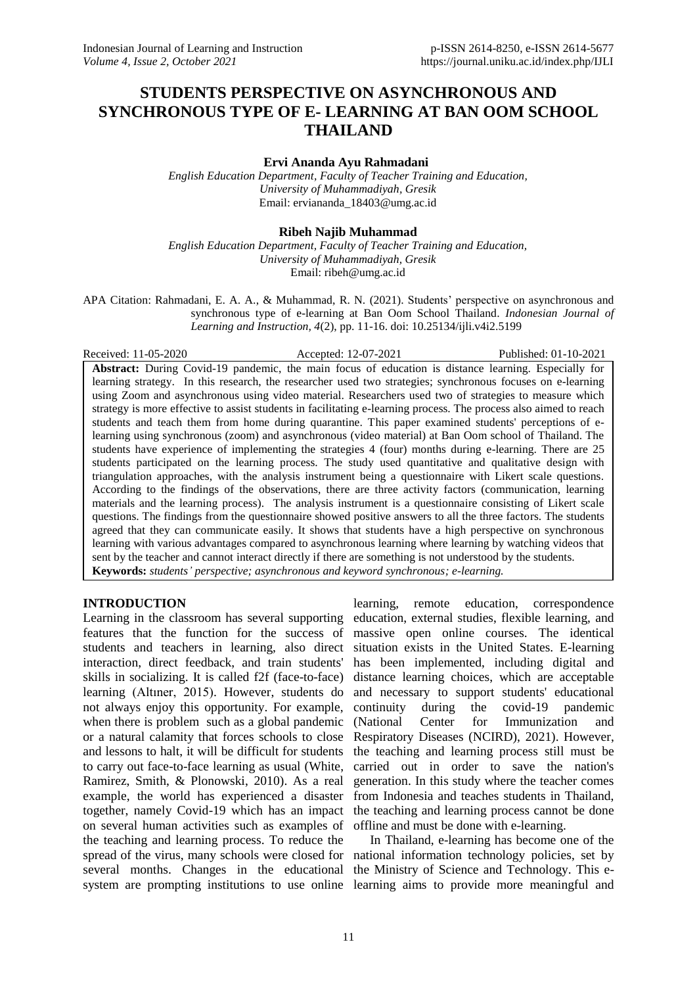# **STUDENTS PERSPECTIVE ON ASYNCHRONOUS AND SYNCHRONOUS TYPE OF E- LEARNING AT BAN OOM SCHOOL THAILAND**

**Ervi Ananda Ayu Rahmadani**

*English Education Department, Faculty of Teacher Training and Education, University of Muhammadiyah, Gresik* Email: erviananda\_18403@umg.ac.id

## **Ribeh Najib Muhammad**

*English Education Department, Faculty of Teacher Training and Education, University of Muhammadiyah, Gresik* Email: ribeh@umg.ac.id

APA Citation: Rahmadani, E. A. A., & Muhammad, R. N. (2021). Students' perspective on asynchronous and synchronous type of e-learning at Ban Oom School Thailand. *Indonesian Journal of Learning and Instruction, 4*(2), pp. 11-16. doi: 10.25134/ijli.v4i2.5199

Received: 11-05-2020 Accepted: 12-07-2021 Published: 01-10-2021

**Abstract:** During Covid-19 pandemic, the main focus of education is distance learning. Especially for learning strategy. In this research, the researcher used two strategies; synchronous focuses on e-learning using Zoom and asynchronous using video material. Researchers used two of strategies to measure which strategy is more effective to assist students in facilitating e-learning process. The process also aimed to reach students and teach them from home during quarantine. This paper examined students' perceptions of elearning using synchronous (zoom) and asynchronous (video material) at Ban Oom school of Thailand. The students have experience of implementing the strategies 4 (four) months during e-learning. There are 25 students participated on the learning process. The study used quantitative and qualitative design with triangulation approaches, with the analysis instrument being a questionnaire with Likert scale questions. According to the findings of the observations, there are three activity factors (communication, learning materials and the learning process). The analysis instrument is a questionnaire consisting of Likert scale questions. The findings from the questionnaire showed positive answers to all the three factors. The students agreed that they can communicate easily. It shows that students have a high perspective on synchronous learning with various advantages compared to asynchronous learning where learning by watching videos that sent by the teacher and cannot interact directly if there are something is not understood by the students. **Keywords:** *students' perspective; asynchronous and keyword synchronous; e-learning.*

# **INTRODUCTION**

Learning in the classroom has several supporting features that the function for the success of students and teachers in learning, also direct situation exists in the United States. E-learning interaction, direct feedback, and train students' skills in socializing. It is called f2f (face-to-face) learning (Altıner, 2015). However, students do not always enjoy this opportunity. For example, when there is problem such as a global pandemic or a natural calamity that forces schools to close Respiratory Diseases (NCIRD), 2021). However, and lessons to halt, it will be difficult for students the teaching and learning process still must be to carry out face-to-face learning as usual (White, Ramirez, Smith, & Plonowski, 2010). As a real example, the world has experienced a disaster together, namely Covid-19 which has an impact on several human activities such as examples of the teaching and learning process. To reduce the spread of the virus, many schools were closed for national information technology policies, set by several months. Changes in the educational the Ministry of Science and Technology. This esystem are prompting institutions to use online learning aims to provide more meaningful and

learning, remote education, correspondence education, external studies, flexible learning, and massive open online courses. The identical has been implemented, including digital and distance learning choices, which are acceptable and necessary to support students' educational continuity during the covid-19 pandemic (National Center for Immunization and carried out in order to save the nation's generation. In this study where the teacher comes from Indonesia and teaches students in Thailand, the teaching and learning process cannot be done offline and must be done with e-learning.

In Thailand, e-learning has become one of the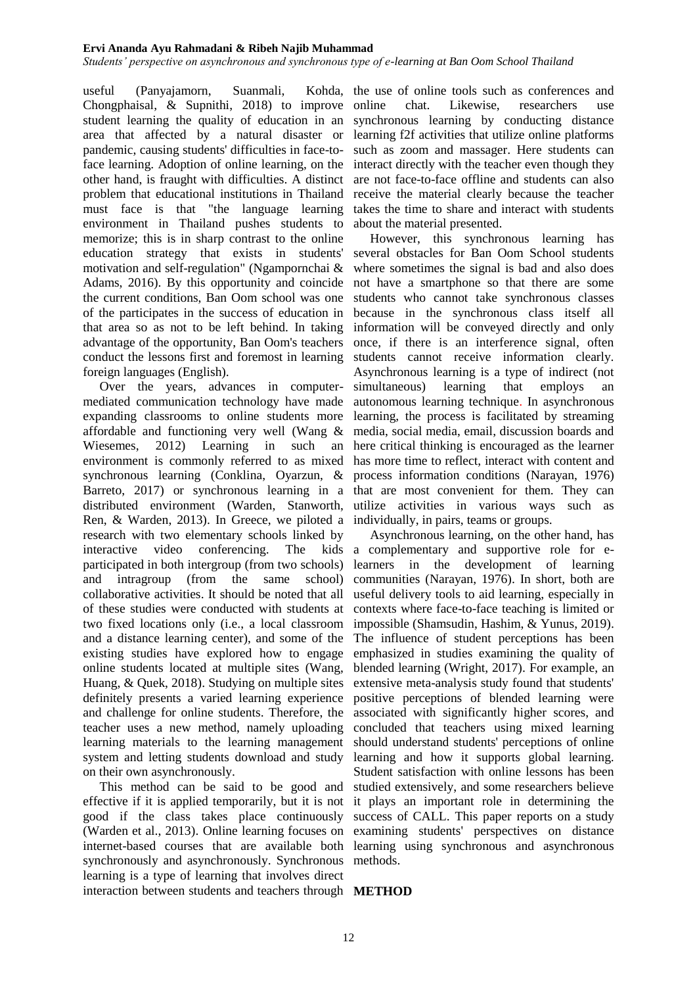### **Ervi Ananda Ayu Rahmadani & Ribeh Najib Muhammad**

*Students' perspective on asynchronous and synchronous type of e-learning at Ban Oom School Thailand*

useful (Panyajamorn, Suanmali, Chongphaisal, & Supnithi, 2018) to improve student learning the quality of education in an area that affected by a natural disaster or pandemic, causing students' difficulties in face-toface learning. Adoption of online learning, on the other hand, is fraught with difficulties. A distinct problem that educational institutions in Thailand must face is that "the language learning environment in Thailand pushes students to memorize; this is in sharp contrast to the online education strategy that exists in students' motivation and self-regulation" (Ngampornchai & Adams, 2016). By this opportunity and coincide the current conditions, Ban Oom school was one of the participates in the success of education in that area so as not to be left behind. In taking advantage of the opportunity, Ban Oom's teachers conduct the lessons first and foremost in learning foreign languages (English).

Over the years, advances in computermediated communication technology have made expanding classrooms to online students more affordable and functioning very well (Wang & Wiesemes, 2012) Learning in such an environment is commonly referred to as mixed synchronous learning (Conklina, Oyarzun, & Barreto, 2017) or synchronous learning in a that are most convenient for them. They can distributed environment (Warden, Stanworth, utilize activities in various ways such as Ren, & Warden, 2013). In Greece, we piloted a individually, in pairs, teams or groups. research with two elementary schools linked by interactive video conferencing. The participated in both intergroup (from two schools) and intragroup (from the same school) collaborative activities. It should be noted that all of these studies were conducted with students at two fixed locations only (i.e., a local classroom and a distance learning center), and some of the existing studies have explored how to engage online students located at multiple sites (Wang, Huang, & Quek, 2018). Studying on multiple sites definitely presents a varied learning experience and challenge for online students. Therefore, the teacher uses a new method, namely uploading learning materials to the learning management system and letting students download and study on their own asynchronously.

This method can be said to be good and effective if it is applied temporarily, but it is not good if the class takes place continuously (Warden et al., 2013). Online learning focuses on examining students' perspectives on distance internet-based courses that are available both learning using synchronous and asynchronous synchronously and asynchronously. Synchronous methods. learning is a type of learning that involves direct interaction between students and teachers through **METHOD**

Kohda, the use of online tools such as conferences and online chat. Likewise, researchers use synchronous learning by conducting distance learning f2f activities that utilize online platforms such as zoom and massager. Here students can interact directly with the teacher even though they are not face-to-face offline and students can also receive the material clearly because the teacher takes the time to share and interact with students about the material presented.

> However, this synchronous learning has several obstacles for Ban Oom School students where sometimes the signal is bad and also does not have a smartphone so that there are some students who cannot take synchronous classes because in the synchronous class itself all information will be conveyed directly and only once, if there is an interference signal, often students cannot receive information clearly. Asynchronous learning is a type of indirect (not simultaneous) learning that employs an autonomous learning technique. In asynchronous learning, the process is facilitated by streaming media, social media, email, discussion boards and here critical thinking is encouraged as the learner has more time to reflect, interact with content and process information conditions (Narayan, 1976)

Asynchronous learning, on the other hand, has kids a complementary and supportive role for elearners in the development of learning communities (Narayan, 1976). In short, both are useful delivery tools to aid learning, especially in contexts where face-to-face teaching is limited or impossible (Shamsudin, Hashim, & Yunus, 2019). The influence of student perceptions has been emphasized in studies examining the quality of blended learning (Wright, 2017). For example, an extensive meta-analysis study found that students' positive perceptions of blended learning were associated with significantly higher scores, and concluded that teachers using mixed learning should understand students' perceptions of online learning and how it supports global learning. Student satisfaction with online lessons has been studied extensively, and some researchers believe it plays an important role in determining the success of CALL. This paper reports on a study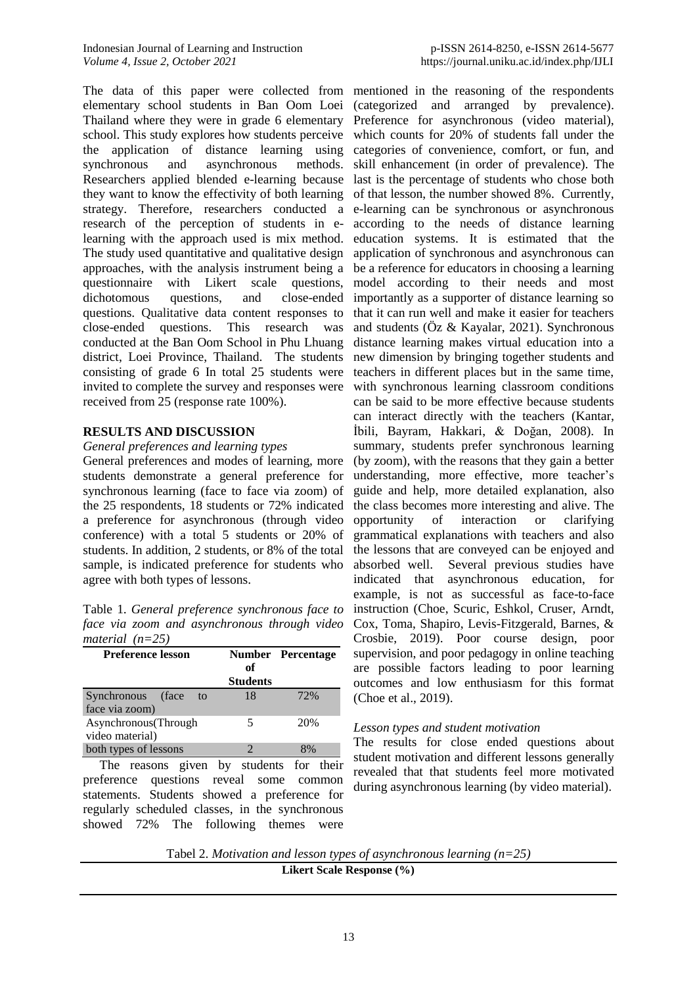The data of this paper were collected from mentioned in the reasoning of the respondents elementary school students in Ban Oom Loei (categorized and arranged by prevalence). Thailand where they were in grade 6 elementary Preference for asynchronous (video material), school. This study explores how students perceive which counts for 20% of students fall under the the application of distance learning using categories of convenience, comfort, or fun, and synchronous and asynchronous methods. Researchers applied blended e-learning because last is the percentage of students who chose both they want to know the effectivity of both learning strategy. Therefore, researchers conducted a e-learning can be synchronous or asynchronous research of the perception of students in elearning with the approach used is mix method. The study used quantitative and qualitative design approaches, with the analysis instrument being a questionnaire with Likert scale questions, dichotomous questions, and close-ended questions. Qualitative data content responses to close-ended questions. This research was conducted at the Ban Oom School in Phu Lhuang district, Loei Province, Thailand. The students consisting of grade 6 In total 25 students were invited to complete the survey and responses were received from 25 (response rate 100%).

# **RESULTS AND DISCUSSION**

*General preferences and learning types*

General preferences and modes of learning, more students demonstrate a general preference for synchronous learning (face to face via zoom) of the 25 respondents, 18 students or 72% indicated a preference for asynchronous (through video conference) with a total 5 students or 20% of students. In addition, 2 students, or 8% of the total sample, is indicated preference for students who agree with both types of lessons.

Table 1. *General preference synchronous face to face via zoom and asynchronous through video material (n=25)*

| <b>Preference lesson</b>                  | оf<br><b>Students</b> | <b>Number Percentage</b> |  |  |  |
|-------------------------------------------|-----------------------|--------------------------|--|--|--|
| Synchronous (face<br>to<br>face via zoom) | 18                    | 72%                      |  |  |  |
| Asynchronous (Through<br>video material)  | 5                     | 20%                      |  |  |  |
| both types of lessons                     |                       |                          |  |  |  |

The reasons given by students for their preference questions reveal some common statements. Students showed a preference for regularly scheduled classes, in the synchronous showed 72% The following themes were

skill enhancement (in order of prevalence). The of that lesson, the number showed 8%. Currently, according to the needs of distance learning education systems. It is estimated that the application of synchronous and asynchronous can be a reference for educators in choosing a learning model according to their needs and most importantly as a supporter of distance learning so that it can run well and make it easier for teachers and students (Öz & Kayalar, 2021). Synchronous distance learning makes virtual education into a new dimension by bringing together students and teachers in different places but in the same time, with synchronous learning classroom conditions can be said to be more effective because students can interact directly with the teachers (Kantar, İbili, Bayram, Hakkari, & Doğan, 2008). In summary, students prefer synchronous learning (by zoom), with the reasons that they gain a better understanding, more effective, more teacher's guide and help, more detailed explanation, also the class becomes more interesting and alive. The opportunity of interaction or clarifying grammatical explanations with teachers and also the lessons that are conveyed can be enjoyed and absorbed well. Several previous studies have indicated that asynchronous education, for example, is not as successful as face-to-face instruction (Choe, Scuric, Eshkol, Cruser, Arndt, Cox, Toma, Shapiro, Levis-Fitzgerald, Barnes, & Crosbie, 2019). Poor course design, poor supervision, and poor pedagogy in online teaching are possible factors leading to poor learning outcomes and low enthusiasm for this format (Choe et al., 2019).

# *Lesson types and student motivation*

The results for close ended questions about student motivation and different lessons generally revealed that that students feel more motivated during asynchronous learning (by video material).

Tabel 2. *Motivation and lesson types of asynchronous learning (n=25)* **Likert Scale Response (%)**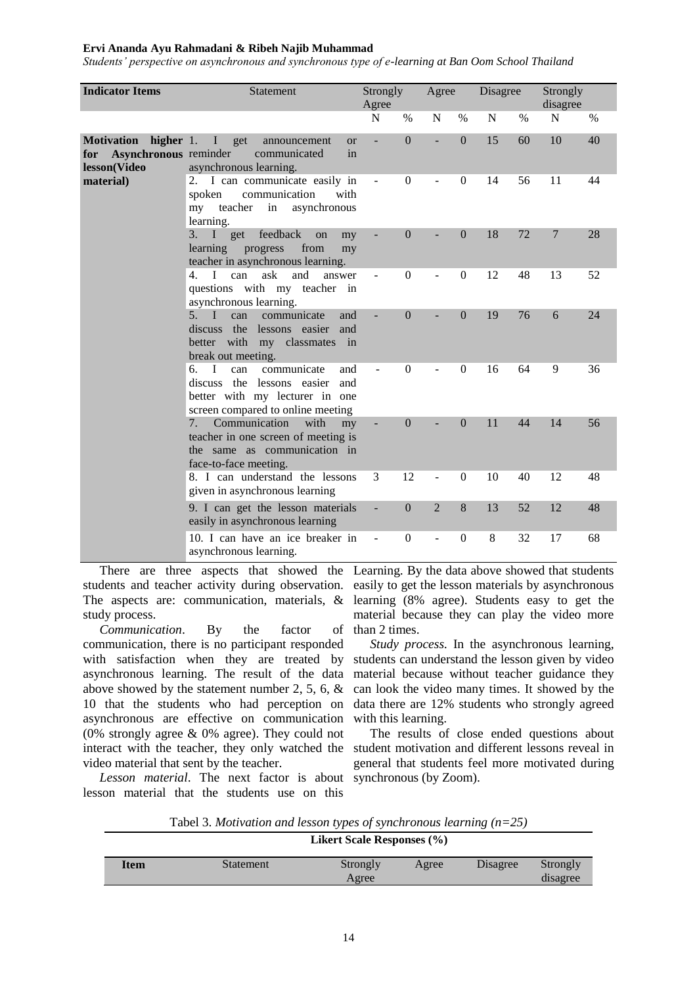### **Ervi Ananda Ayu Rahmadani & Ribeh Najib Muhammad**

*Students' perspective on asynchronous and synchronous type of e-learning at Ban Oom School Thailand*

| <b>Indicator Items</b>                                     | Statement                                                                                                                                           | Strongly                 |                | Agree                       |                | Disagree |      | Strongly       |      |
|------------------------------------------------------------|-----------------------------------------------------------------------------------------------------------------------------------------------------|--------------------------|----------------|-----------------------------|----------------|----------|------|----------------|------|
|                                                            |                                                                                                                                                     | Agree                    |                |                             |                |          |      | disagree       |      |
|                                                            |                                                                                                                                                     | N                        | $\%$           | N                           | $\%$           | N        | $\%$ | $\mathbf N$    | $\%$ |
| Motivation<br>Asynchronous reminder<br>for<br>lesson(Video | higher 1. I get<br>announcement<br><b>or</b><br>communicated<br>in<br>asynchronous learning.                                                        | ÷,                       | $\theta$       |                             | $\Omega$       | 15       | 60   | 10             | 40   |
| material)                                                  | 2. I can communicate easily in<br>communication<br>spoken<br>with<br>my teacher in<br>asynchronous<br>learning.                                     | $\overline{\phantom{a}}$ | $\Omega$       |                             | $\overline{0}$ | 14       | 56   | 11             | 44   |
|                                                            | 3. I get feedback<br>on<br>my<br>learning<br>progress<br>from<br>my<br>teacher in asynchronous learning.                                            |                          | $\overline{0}$ |                             | $\Omega$       | 18       | 72   | $\overline{7}$ | 28   |
|                                                            | ask<br>$\mathbf{4}$ .<br>can<br>and<br>L<br>answer<br>questions with my teacher in<br>asynchronous learning.                                        |                          | $\overline{0}$ |                             | $\overline{0}$ | 12       | 48   | 13             | 52   |
|                                                            | $5. \quad I$<br>communicate<br>can<br>and<br>discuss the lessons easier<br>and<br>better with my classmates in<br>break out meeting.                |                          | $\theta$       |                             | $\Omega$       | 19       | 76   | 6              | 24   |
|                                                            | I<br>can<br>6.<br>communicate<br>and<br>discuss the<br>lessons easier<br>and<br>better with my lecturer in one<br>screen compared to online meeting |                          | $\theta$       |                             | $\Omega$       | 16       | 64   | 9              | 36   |
|                                                            | Communication<br>with<br>7 <sub>1</sub><br>my<br>teacher in one screen of meeting is<br>the same as communication in<br>face-to-face meeting.       |                          | $\theta$       |                             | $\Omega$       | 11       | 44   | 14             | 56   |
|                                                            | 8. I can understand the lessons<br>given in asynchronous learning                                                                                   | 3                        | 12             |                             | $\Omega$       | 10       | 40   | 12             | 48   |
|                                                            | 9. I can get the lesson materials<br>easily in asynchronous learning                                                                                | Ξ                        | $\Omega$       | $\mathcal{D}_{\mathcal{L}}$ | 8              | 13       | 52   | 12             | 48   |
|                                                            | 10. I can have an ice breaker in<br>asynchronous learning.                                                                                          |                          | $\theta$       |                             | $\overline{0}$ | 8        | 32   | 17             | 68   |

students and teacher activity during observation. easily to get the lesson materials by asynchronous The aspects are: communication, materials, & learning (8% agree). Students easy to get the study process.

*Communication*. By the factor of communication, there is no participant responded with satisfaction when they are treated by asynchronous learning. The result of the data above showed by the statement number 2, 5, 6, & 10 that the students who had perception on asynchronous are effective on communication (0% strongly agree & 0% agree). They could not interact with the teacher, they only watched the video material that sent by the teacher.

Lesson material. The next factor is about synchronous (by Zoom). lesson material that the students use on this

There are three aspects that showed the Learning. By the data above showed that students material because they can play the video more than 2 times.

> *Study process.* In the asynchronous learning, students can understand the lesson given by video material because without teacher guidance they can look the video many times. It showed by the data there are 12% students who strongly agreed with this learning.

> The results of close ended questions about student motivation and different lessons reveal in general that students feel more motivated during

Tabel 3. *Motivation and lesson types of synchronous learning (n=25)*

|      | <b>Likert Scale Responses</b> (%) |                   |       |          |                      |  |  |  |  |
|------|-----------------------------------|-------------------|-------|----------|----------------------|--|--|--|--|
| Item | Statement                         | Strongly<br>Agree | Agree | Disagree | Strongly<br>disagree |  |  |  |  |
|      |                                   |                   |       |          |                      |  |  |  |  |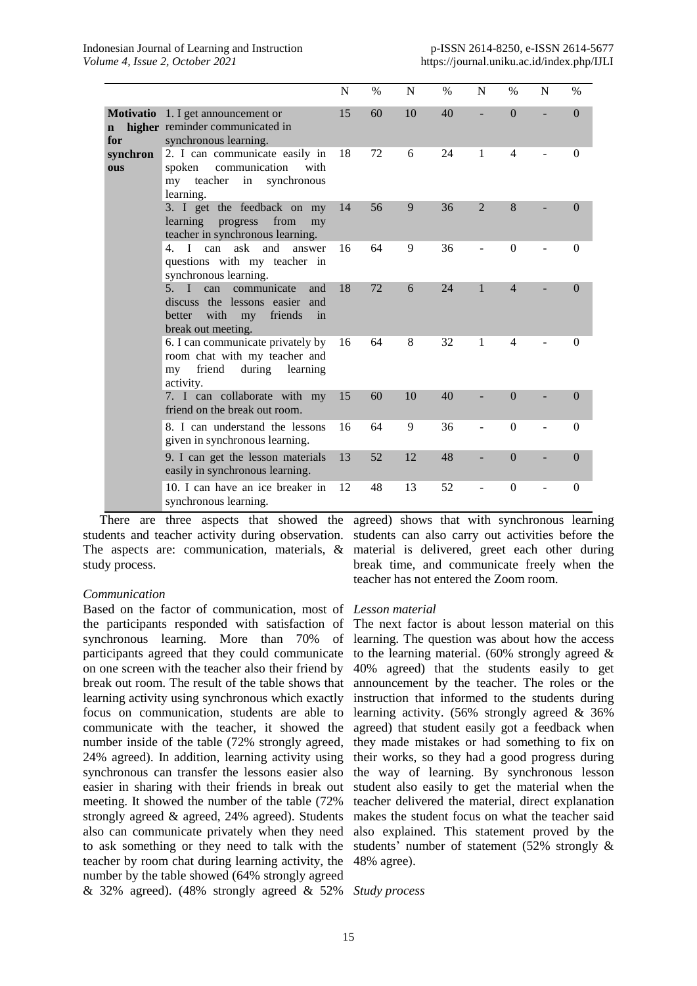|                    |                                                                                                                                 | N  | $\%$ | N  | $\%$ | N              | $\frac{0}{0}$  | N | $\%$     |
|--------------------|---------------------------------------------------------------------------------------------------------------------------------|----|------|----|------|----------------|----------------|---|----------|
| $\mathbf n$<br>for | <b>Motivatio</b> 1. I get announcement or<br>higher reminder communicated in<br>synchronous learning.                           | 15 | 60   | 10 | 40   |                | $\Omega$       |   | $\Omega$ |
| synchron<br>ous    | 2. I can communicate easily in<br>communication<br>spoken<br>with<br>my teacher<br>in synchronous<br>learning.                  | 18 | 72   | 6  | 24   | 1              | $\overline{4}$ |   | $\theta$ |
|                    | 3. I get the feedback on my<br>learning<br>from<br>progress<br>my<br>teacher in synchronous learning.                           | 14 | 56   | 9  | 36   | $\overline{2}$ | 8              |   | 0        |
|                    | ask<br>and<br>can<br>$\mathbf{4}$ .<br>$\mathbf{I}$<br>answer<br>questions with my teacher in<br>synchronous learning.          | 16 | 64   | 9  | 36   |                | $\Omega$       |   | $\Omega$ |
|                    | 5. I can<br>communicate<br>and<br>discuss the lessons easier<br>and<br>with my<br>friends<br>better<br>in<br>break out meeting. | 18 | 72   | 6  | 24   | 1              | $\overline{4}$ |   | $\theta$ |
|                    | 6. I can communicate privately by<br>room chat with my teacher and<br>friend<br>during<br>learning<br>my<br>activity.           | 16 | 64   | 8  | 32   | 1              | 4              |   | $\Omega$ |
|                    | 7. I can collaborate with my<br>friend on the break out room.                                                                   | 15 | 60   | 10 | 40   |                | $\Omega$       |   | $\Omega$ |
|                    | 8. I can understand the lessons<br>given in synchronous learning.                                                               | 16 | 64   | 9  | 36   |                | $\Omega$       |   | $\Omega$ |
|                    | 9. I can get the lesson materials<br>easily in synchronous learning.                                                            | 13 | 52   | 12 | 48   |                | $\Omega$       |   | $\Omega$ |
|                    | 10. I can have an ice breaker in<br>synchronous learning.                                                                       | 12 | 48   | 13 | 52   |                | $\Omega$       |   | $\Omega$ |

There are three aspects that showed the students and teacher activity during observation. The aspects are: communication, materials, & study process.

# *Communication*

Based on the factor of communication, most of *Lesson material* the participants responded with satisfaction of synchronous learning. More than 70% of participants agreed that they could communicate on one screen with the teacher also their friend by break out room. The result of the table shows that learning activity using synchronous which exactly focus on communication, students are able to communicate with the teacher, it showed the number inside of the table (72% strongly agreed, 24% agreed). In addition, learning activity using synchronous can transfer the lessons easier also easier in sharing with their friends in break out meeting. It showed the number of the table (72% strongly agreed & agreed, 24% agreed). Students also can communicate privately when they need to ask something or they need to talk with the teacher by room chat during learning activity, the number by the table showed (64% strongly agreed & 32% agreed). (48% strongly agreed & 52% *Study process*

agreed) shows that with synchronous learning students can also carry out activities before the material is delivered, greet each other during break time, and communicate freely when the teacher has not entered the Zoom room.

The next factor is about lesson material on this learning. The question was about how the access to the learning material. (60% strongly agreed  $\&$ 40% agreed) that the students easily to get announcement by the teacher. The roles or the instruction that informed to the students during learning activity. (56% strongly agreed & 36% agreed) that student easily got a feedback when they made mistakes or had something to fix on their works, so they had a good progress during the way of learning. By synchronous lesson student also easily to get the material when the teacher delivered the material, direct explanation makes the student focus on what the teacher said also explained. This statement proved by the students' number of statement (52% strongly & 48% agree).